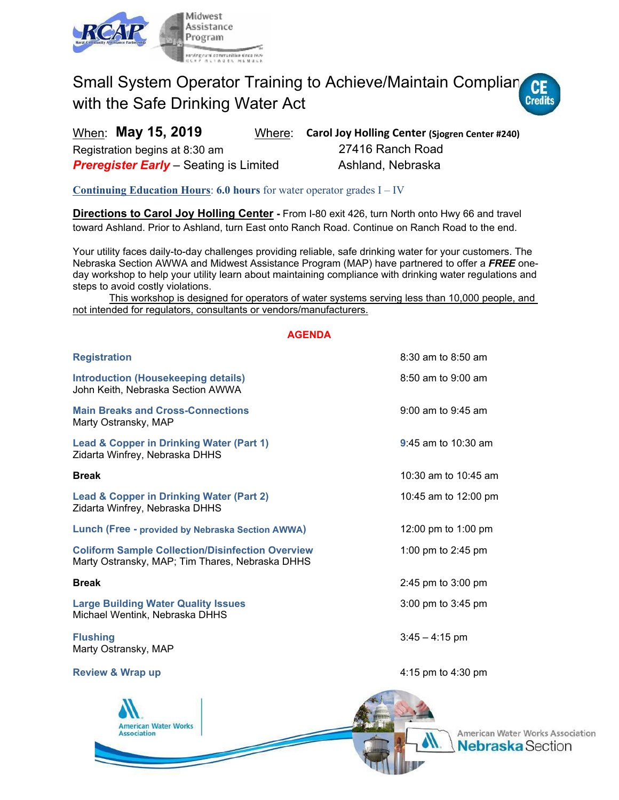

## Small System Operator Training to Achieve/Maintain Complian with the Safe Drinking Water Act **Credit:**

**Association** 

When: **May 15, 2019** Where: **Carol Joy Holling Center (Sjogren Center #240)** Registration begins at 8:30 am 27416 Ranch Road **Preregister Early** – Seating is Limited Ashland, Nebraska

**Continuing Education Hours**: **6.0 hours** for water operator grades I – IV

**Directions to Carol Joy Holling Center -** From I-80 exit 426, turn North onto Hwy 66 and travel toward Ashland. Prior to Ashland, turn East onto Ranch Road. Continue on Ranch Road to the end.

Your utility faces daily-to-day challenges providing reliable, safe drinking water for your customers. The Nebraska Section AWWA and Midwest Assistance Program (MAP) have partnered to offer a *FREE* oneday workshop to help your utility learn about maintaining compliance with drinking water regulations and steps to avoid costly violations.

This workshop is designed for operators of water systems serving less than 10,000 people, and not intended for regulators, consultants or vendors/manufacturers.

## **AGENDA**

| <b>Registration</b>                                                                                        | 8:30 am to 8:50 am         |
|------------------------------------------------------------------------------------------------------------|----------------------------|
| <b>Introduction (Housekeeping details)</b><br>John Keith, Nebraska Section AWWA                            | 8:50 am to 9:00 am         |
| <b>Main Breaks and Cross-Connections</b><br>Marty Ostransky, MAP                                           | 9:00 am to 9:45 am         |
| <b>Lead &amp; Copper in Drinking Water (Part 1)</b><br>Zidarta Winfrey, Nebraska DHHS                      | <b>9.45 am to 10.30 am</b> |
| <b>Break</b>                                                                                               | 10:30 am to 10:45 am       |
| <b>Lead &amp; Copper in Drinking Water (Part 2)</b><br>Zidarta Winfrey, Nebraska DHHS                      | 10:45 am to 12:00 pm       |
| Lunch (Free - provided by Nebraska Section AWWA)                                                           | 12:00 pm to 1:00 pm        |
| <b>Coliform Sample Collection/Disinfection Overview</b><br>Marty Ostransky, MAP; Tim Thares, Nebraska DHHS | 1:00 pm to 2:45 pm         |
| <b>Break</b>                                                                                               | 2:45 pm to 3:00 pm         |
| <b>Large Building Water Quality Issues</b><br>Michael Wentink, Nebraska DHHS                               | $3:00$ pm to $3:45$ pm     |
| <b>Flushing</b><br>Marty Ostransky, MAP                                                                    | $3:45 - 4:15$ pm           |

**Review & Wrap up Review & Wrap up 1.15 pm to 4:30 pm**